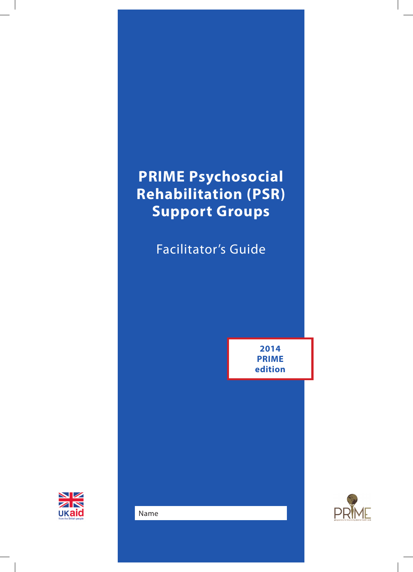# **PRIME Psychosocial Rehabilitation (PSR) Support Groups**

Facilitator's Guide

**2014 PRIME edition**





Name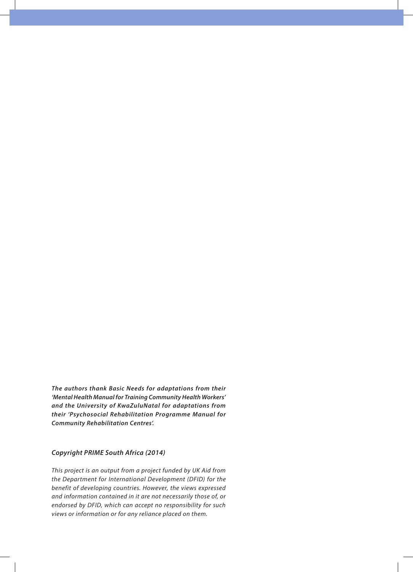*The authors thank Basic Needs for adaptations from their 'Mental Health Manual for Training Community Health Workers' and the University of KwaZuluNatal for adaptations from their 'Psychosocial Rehabilitation Programme Manual for Community Rehabilitation Centres'.*

#### *Copyright PRIME South Africa (2014)*

*This project is an output from a project funded by UK Aid from the Department for International Development (DFID) for the benefit of developing countries. However, the views expressed and information contained in it are not necessarily those of, or endorsed by DFID, which can accept no responsibility for such views or information or for any reliance placed on them.*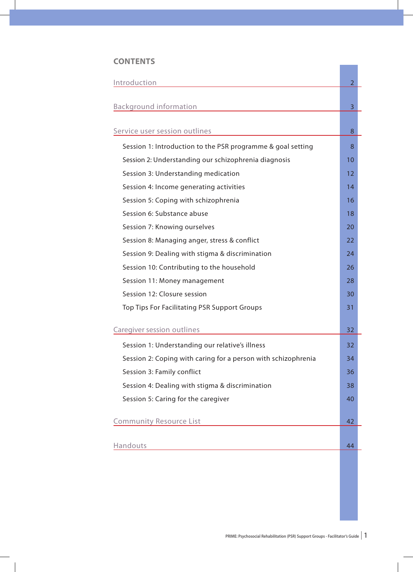#### **CONTENTS**

| Introduction                                                  | $\overline{2}$    |
|---------------------------------------------------------------|-------------------|
| <b>Background information</b>                                 | 3                 |
| Service user session outlines                                 | 8                 |
| Session 1: Introduction to the PSR programme & goal setting   | 8                 |
| Session 2: Understanding our schizophrenia diagnosis          | 10                |
| Session 3: Understanding medication                           | $12 \overline{ }$ |
| Session 4: Income generating activities                       | 14                |
| Session 5: Coping with schizophrenia                          | 16                |
| Session 6: Substance abuse                                    | 18                |
| Session 7: Knowing ourselves                                  | 20                |
| Session 8: Managing anger, stress & conflict                  | 22                |
| Session 9: Dealing with stigma & discrimination               | 24                |
| Session 10: Contributing to the household                     | 26                |
| Session 11: Money management                                  | 28                |
| Session 12: Closure session                                   | 30                |
| Top Tips For Facilitating PSR Support Groups                  | 31                |
| Caregiver session outlines                                    | 32                |
| Session 1: Understanding our relative's illness               | 32                |
| Session 2: Coping with caring for a person with schizophrenia | 34                |
| Session 3: Family conflict                                    | 36                |
| Session 4: Dealing with stigma & discrimination               | 38                |
| Session 5: Caring for the caregiver                           | 40                |
| <b>Community Resource List</b>                                | 42                |
| Handouts                                                      | 44                |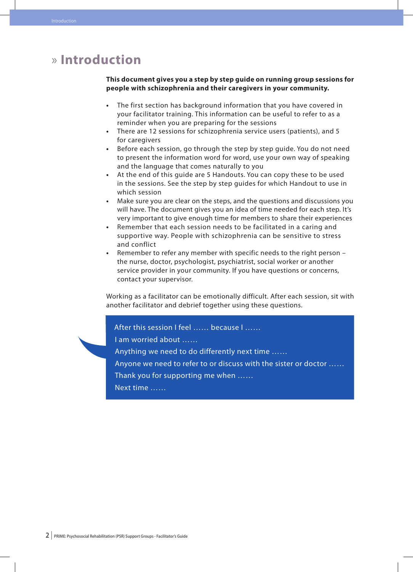# » **Introduction**

#### **This document gives you a step by step guide on running group sessions for people with schizophrenia and their caregivers in your community.**

- The first section has background information that you have covered in your facilitator training. This information can be useful to refer to as a reminder when you are preparing for the sessions
- There are 12 sessions for schizophrenia service users (patients), and 5 for caregivers
- Before each session, go through the step by step guide. You do not need to present the information word for word, use your own way of speaking and the language that comes naturally to you
- **•**  At the end of this guide are 5 Handouts. You can copy these to be used in the sessions. See the step by step guides for which Handout to use in which session
- **•**  Make sure you are clear on the steps, and the questions and discussions you will have. The document gives you an idea of time needed for each step. It's very important to give enough time for members to share their experiences
- Remember that each session needs to be facilitated in a caring and supportive way. People with schizophrenia can be sensitive to stress and conflict
- **•**  Remember to refer any member with specific needs to the right person the nurse, doctor, psychologist, psychiatrist, social worker or another service provider in your community. If you have questions or concerns, contact your supervisor.

Working as a facilitator can be emotionally difficult. After each session, sit with another facilitator and debrief together using these questions.

#### After this session I feel ...... because I ......

I am worried about ……

Anything we need to do differently next time ……

Anyone we need to refer to or discuss with the sister or doctor ……

Thank you for supporting me when ……

Next time ……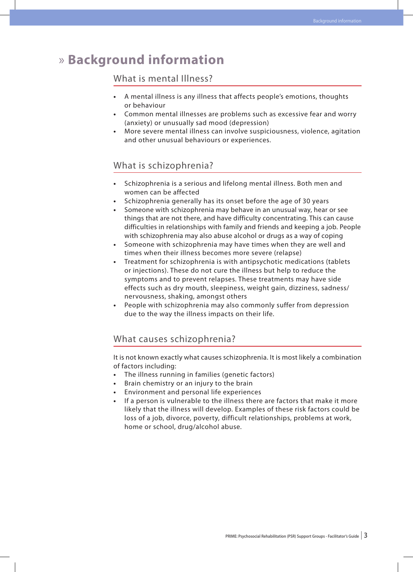# » **Background information**

#### What is mental Illness?

- **•**  A mental illness is any illness that affects people's emotions, thoughts or behaviour
- Common mental illnesses are problems such as excessive fear and worry (anxiety) or unusually sad mood (depression)
- **•**  More severe mental illness can involve suspiciousness, violence, agitation and other unusual behaviours or experiences.

#### What is schizophrenia?

- Schizophrenia is a serious and lifelong mental illness. Both men and women can be affected
- Schizophrenia generally has its onset before the age of 30 years
- Someone with schizophrenia may behave in an unusual way, hear or see things that are not there, and have difficulty concentrating. This can cause difficulties in relationships with family and friends and keeping a job. People with schizophrenia may also abuse alcohol or drugs as a way of coping
- Someone with schizophrenia may have times when they are well and times when their illness becomes more severe (relapse)
- Treatment for schizophrenia is with antipsychotic medications (tablets or injections). These do not cure the illness but help to reduce the symptoms and to prevent relapses. These treatments may have side effects such as dry mouth, sleepiness, weight gain, dizziness, sadness/ nervousness, shaking, amongst others
- People with schizophrenia may also commonly suffer from depression due to the way the illness impacts on their life.

#### What causes schizophrenia?

It is not known exactly what causes schizophrenia. It is most likely a combination of factors including:

- The illness running in families (genetic factors)
- Brain chemistry or an injury to the brain
- Environment and personal life experiences
- If a person is vulnerable to the illness there are factors that make it more likely that the illness will develop. Examples of these risk factors could be loss of a job, divorce, poverty, difficult relationships, problems at work, home or school, drug/alcohol abuse.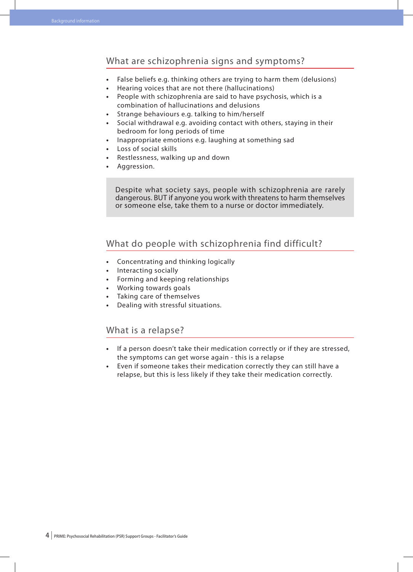#### What are schizophrenia signs and symptoms?

- **•**  False beliefs e.g. thinking others are trying to harm them (delusions)
- **•**  Hearing voices that are not there (hallucinations)
- **•**  People with schizophrenia are said to have psychosis, which is a combination of hallucinations and delusions
- Strange behaviours e.g. talking to him/herself
- **•**  Social withdrawal e.g. avoiding contact with others, staying in their bedroom for long periods of time
- **•**  Inappropriate emotions e.g. laughing at something sad
- **•**  Loss of social skills
- Restlessness, walking up and down
- **•**  Aggression.

Despite what society says, people with schizophrenia are rarely dangerous. BUT if anyone you work with threatens to harm themselves or someone else, take them to a nurse or doctor immediately.

#### What do people with schizophrenia find difficult?

- **•**  Concentrating and thinking logically
- **•**  Interacting socially
- **•**  Forming and keeping relationships
- **•**  Working towards goals
- **•**  Taking care of themselves
- **•**  Dealing with stressful situations.

#### What is a relapse?

- **•**  If a person doesn't take their medication correctly or if they are stressed, the symptoms can get worse again - this is a relapse
- **•**  Even if someone takes their medication correctly they can still have a relapse, but this is less likely if they take their medication correctly.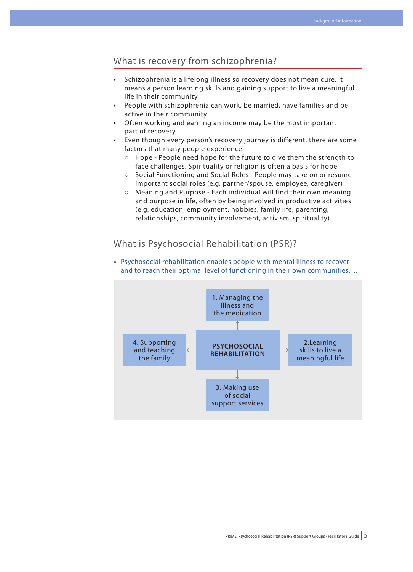#### What is recovery from schizophrenia?

- **•**  Schizophrenia is a lifelong illness so recovery does not mean cure. It means a person learning skills and gaining support to live a meaningful life in their community
- People with schizophrenia can work, be married, have families and be active in their community
- Often working and earning an income may be the most important part of recovery
- Even though every person's recovery journey is different, there are some factors that many people experience:
	- **○** Hope People need hope for the future to give them the strength to face challenges. Spirituality or religion is often a basis for hope
	- **○** Social Functioning and Social Roles People may take on or resume important social roles (e.g. partner/spouse, employee, caregiver)
	- **○** Meaning and Purpose Each individual will find their own meaning and purpose in life, often by being involved in productive activities (e.g. education, employment, hobbies, family life, parenting, relationships, community involvement, activism, spirituality).

#### What is Psychosocial Rehabilitation (PSR)?



» Psychosocial rehabilitation enables people with mental illness to recover and to reach their optimal level of functioning in their own communities….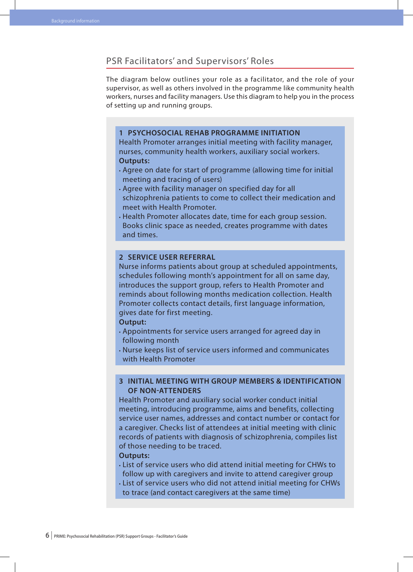#### PSR Facilitators' and Supervisors' Roles

The diagram below outlines your role as a facilitator, and the role of your supervisor, as well as others involved in the programme like community health workers, nurses and facility managers. Use this diagram to help you in the process of setting up and running groups.

#### **1 Psychosocial Rehab Programme Initiation**

Health Promoter arranges initial meeting with facility manager, nurses, community health workers, auxiliary social workers. **Outputs:**

- • Agree on date for start of programme (allowing time for initial meeting and tracing of users)
- • Agree with facility manager on specified day for all schizophrenia patients to come to collect their medication and meet with Health Promoter.
- • Health Promoter allocates date, time for each group session. Books clinic space as needed, creates programme with dates and times.

#### **2 Service User Referral**

Nurse informs patients about group at scheduled appointments, schedules following month's appointment for all on same day, introduces the support group, refers to Health Promoter and reminds about following months medication collection. Health Promoter collects contact details, first language information, gives date for first meeting.

#### **Output:**

- • Appointments for service users arranged for agreed day in following month
- • Nurse keeps list of service users informed and communicates with Health Promoter

#### **3 Initial Meeting with Group Members & Identification of Non-Attenders**

Health Promoter and auxiliary social worker conduct initial meeting, introducing programme, aims and benefits, collecting service user names, addresses and contact number or contact for a caregiver. Checks list of attendees at initial meeting with clinic records of patients with diagnosis of schizophrenia, compiles list of those needing to be traced.

#### **Outputs:**

- • List of service users who did attend initial meeting for CHWs to follow up with caregivers and invite to attend caregiver group
- • List of service users who did not attend initial meeting for CHWs to trace (and contact caregivers at the same time)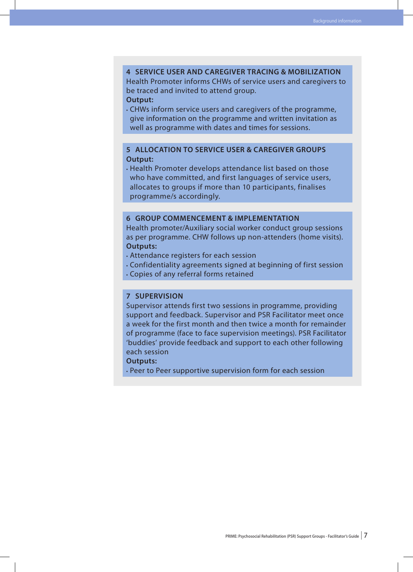#### **4 Service user and caregiver tracing & mobilization**

Health Promoter informs CHWs of service users and caregivers to be traced and invited to attend group.

**Output:**

• CHWs inform service users and caregivers of the programme, give information on the programme and written invitation as well as programme with dates and times for sessions.

#### **5 Allocation to service user & caregiver groups Output:**

• Health Promoter develops attendance list based on those who have committed, and first languages of service users, allocates to groups if more than 10 participants, finalises programme/s accordingly.

#### **6 Group commencement & implementation**

Health promoter/Auxiliary social worker conduct group sessions as per programme. CHW follows up non-attenders (home visits). **Outputs:**

- • Attendance registers for each session
- • Confidentiality agreements signed at beginning of first session • Copies of any referral forms retained

#### **7 Supervision**

Supervisor attends first two sessions in programme, providing support and feedback. Supervisor and PSR Facilitator meet once a week for the first month and then twice a month for remainder of programme (face to face supervision meetings). PSR Facilitator 'buddies' provide feedback and support to each other following each session

#### **Outputs:**

• Peer to Peer supportive supervision form for each session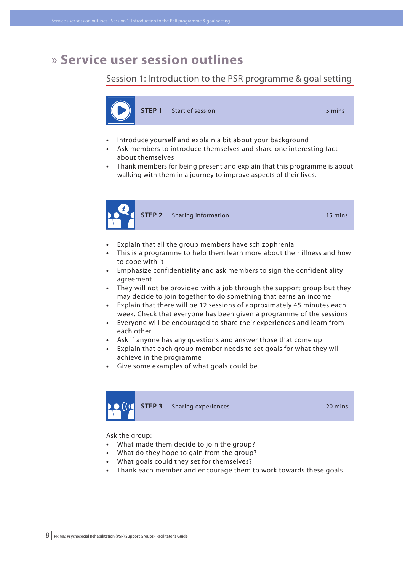# » **Service user session outlines**

Session 1: Introduction to the PSR programme & goal setting



- Introduce yourself and explain a bit about your background
- Ask members to introduce themselves and share one interesting fact about themselves
- Thank members for being present and explain that this programme is about walking with them in a journey to improve aspects of their lives.



- **•**  Explain that all the group members have schizophrenia
- This is a programme to help them learn more about their illness and how to cope with it
- **•**  Emphasize confidentiality and ask members to sign the confidentiality agreement
- **•**  They will not be provided with a job through the support group but they may decide to join together to do something that earns an income
- **•**  Explain that there will be 12 sessions of approximately 45 minutes each week. Check that everyone has been given a programme of the sessions
- **•**  Everyone will be encouraged to share their experiences and learn from each other
- **•**  Ask if anyone has any questions and answer those that come up
- **•**  Explain that each group member needs to set goals for what they will achieve in the programme
- **•**  Give some examples of what goals could be.



Ask the group:

- **•**  What made them decide to join the group?
- **•**  What do they hope to gain from the group?
- **•**  What goals could they set for themselves?
- Thank each member and encourage them to work towards these goals.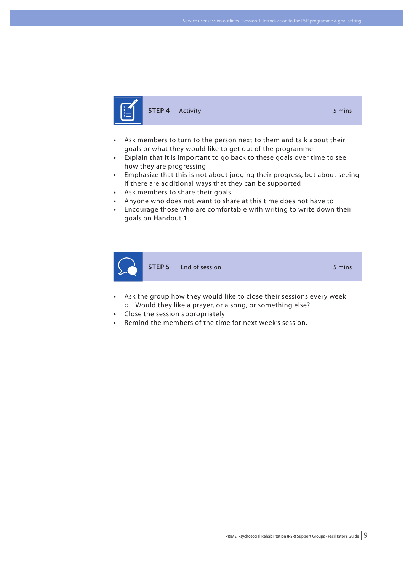

**STEP 4** Activity **5 mins** 

- **•**  Ask members to turn to the person next to them and talk about their goals or what they would like to get out of the programme
- Explain that it is important to go back to these goals over time to see how they are progressing
- **•**  Emphasize that this is not about judging their progress, but about seeing if there are additional ways that they can be supported
- **•**  Ask members to share their goals
- Anyone who does not want to share at this time does not have to
- **•**  Encourage those who are comfortable with writing to write down their goals on Handout 1.



- Ask the group how they would like to close their sessions every week **○** Would they like a prayer, or a song, or something else?
- **Close the session appropriately**
- Remind the members of the time for next week's session.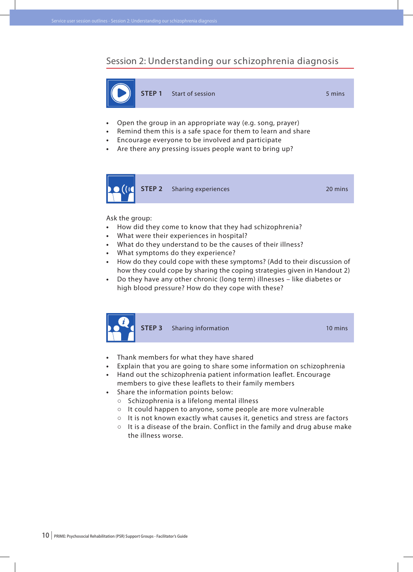## Session 2: Understanding our schizophrenia diagnosis



- Open the group in an appropriate way (e.g. song, prayer)
- Remind them this is a safe space for them to learn and share
- Encourage everyone to be involved and participate
- Are there any pressing issues people want to bring up?



#### Ask the group:

- **•**  How did they come to know that they had schizophrenia?
- What were their experiences in hospital?
- **•**  What do they understand to be the causes of their illness?
- **•**  What symptoms do they experience?
- How do they could cope with these symptoms? (Add to their discussion of how they could cope by sharing the coping strategies given in Handout 2)
- **•**  Do they have any other chronic (long term) illnesses like diabetes or high blood pressure? How do they cope with these?



**STEP 3** Sharing information 10 mins

- **•**  Thank members for what they have shared
- **•**  Explain that you are going to share some information on schizophrenia
- **•**  Hand out the schizophrenia patient information leaflet. Encourage members to give these leaflets to their family members
- **•**  Share the information points below:
	- **○** Schizophrenia is a lifelong mental illness
	- **○** It could happen to anyone, some people are more vulnerable
	- **○** It is not known exactly what causes it, genetics and stress are factors
	- **○** It is a disease of the brain. Conflict in the family and drug abuse make the illness worse.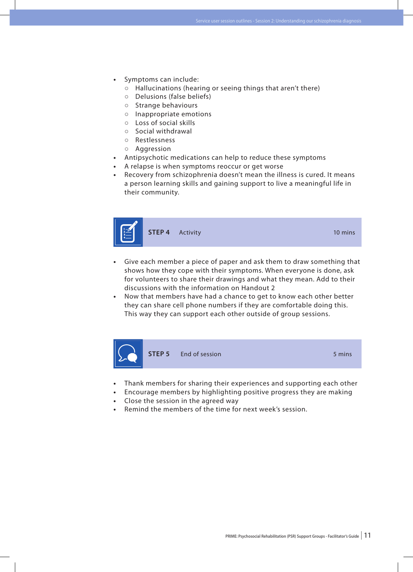- Symptoms can include:
	- **○** Hallucinations (hearing or seeing things that aren't there)
	- **○** Delusions (false beliefs)
	- **○** Strange behaviours
	- **○** Inappropriate emotions
	- **○** Loss of social skills
	- **○** Social withdrawal
	- **○** Restlessness
	- **○** Aggression
- Antipsychotic medications can help to reduce these symptoms
- A relapse is when symptoms reoccur or get worse
- Recovery from schizophrenia doesn't mean the illness is cured. It means a person learning skills and gaining support to live a meaningful life in their community.



- **•**  Give each member a piece of paper and ask them to draw something that shows how they cope with their symptoms. When everyone is done, ask for volunteers to share their drawings and what they mean. Add to their discussions with the information on Handout 2
- Now that members have had a chance to get to know each other better they can share cell phone numbers if they are comfortable doing this. This way they can support each other outside of group sessions.



- Thank members for sharing their experiences and supporting each other
- Encourage members by highlighting positive progress they are making
- Close the session in the agreed way
- Remind the members of the time for next week's session.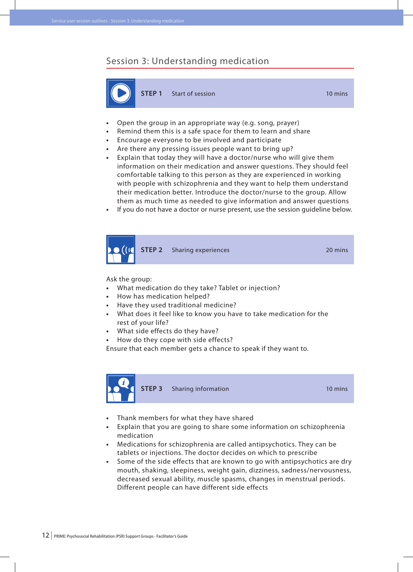# Session 3: Understanding medication



**STEP 1** Start of session **10 mins** 

- **Open the group in an appropriate way (e.g. song, prayer)**
- Remind them this is a safe space for them to learn and share
- **•**  Encourage everyone to be involved and participate
- **•**  Are there any pressing issues people want to bring up?
- **•**  Explain that today they will have a doctor/nurse who will give them information on their medication and answer questions. They should feel comfortable talking to this person as they are experienced in working with people with schizophrenia and they want to help them understand their medication better. Introduce the doctor/nurse to the group. Allow them as much time as needed to give information and answer questions
- If you do not have a doctor or nurse present, use the session guideline below.



Ask the group:

- **•**  What medication do they take? Tablet or injection?
- **•**  How has medication helped?
- **•**  Have they used traditional medicine?
- **•**  What does it feel like to know you have to take medication for the rest of your life?
- What side effects do they have?
- How do they cope with side effects?

Ensure that each member gets a chance to speak if they want to.



**STEP 3** Sharing information 10 mins

- **•**  Thank members for what they have shared
- **•**  Explain that you are going to share some information on schizophrenia medication
- **•**  Medications for schizophrenia are called antipsychotics. They can be tablets or injections. The doctor decides on which to prescribe
- **•**  Some of the side effects that are known to go with antipsychotics are dry mouth, shaking, sleepiness, weight gain, dizziness, sadness/nervousness, decreased sexual ability, muscle spasms, changes in menstrual periods. Different people can have different side effects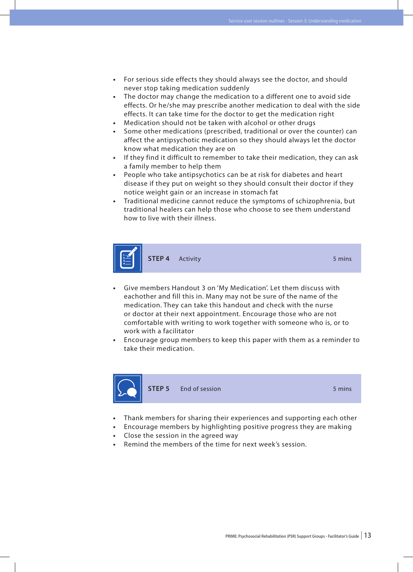- **•**  For serious side effects they should always see the doctor, and should never stop taking medication suddenly
- **•**  The doctor may change the medication to a different one to avoid side effects. Or he/she may prescribe another medication to deal with the side effects. It can take time for the doctor to get the medication right
- Medication should not be taken with alcohol or other drugs
- Some other medications (prescribed, traditional or over the counter) can affect the antipsychotic medication so they should always let the doctor know what medication they are on
- **•**  If they find it difficult to remember to take their medication, they can ask a family member to help them
- People who take antipsychotics can be at risk for diabetes and heart disease if they put on weight so they should consult their doctor if they notice weight gain or an increase in stomach fat
- **•**  Traditional medicine cannot reduce the symptoms of schizophrenia, but traditional healers can help those who choose to see them understand how to live with their illness.



- Give members Handout 3 on 'My Medication'. Let them discuss with eachother and fill this in. Many may not be sure of the name of the medication. They can take this handout and check with the nurse or doctor at their next appointment. Encourage those who are not comfortable with writing to work together with someone who is, or to work with a facilitator
- Encourage group members to keep this paper with them as a reminder to take their medication.



**STEP 5** End of session 5 mins

- Thank members for sharing their experiences and supporting each other
- Encourage members by highlighting positive progress they are making
- Close the session in the agreed way
- Remind the members of the time for next week's session.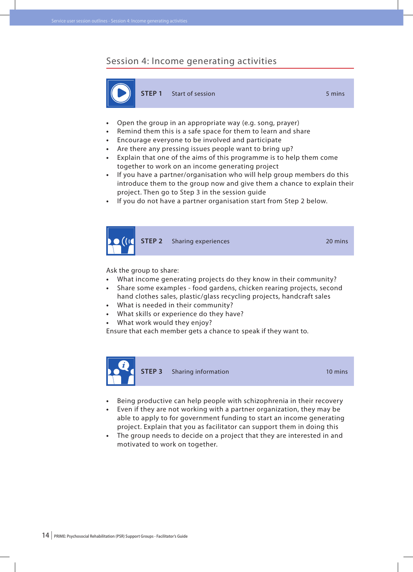#### Session 4: Income generating activities



**STEP 1** Start of session 5 mins

- **Open the group in an appropriate way (e.g. song, prayer)**
- Remind them this is a safe space for them to learn and share
- Encourage everyone to be involved and participate
- **•**  Are there any pressing issues people want to bring up?
- **•**  Explain that one of the aims of this programme is to help them come together to work on an income generating project
- **•**  If you have a partner/organisation who will help group members do this introduce them to the group now and give them a chance to explain their project. Then go to Step 3 in the session guide
- **•**  If you do not have a partner organisation start from Step 2 below.



Ask the group to share:

- **•**  What income generating projects do they know in their community?
- Share some examples food gardens, chicken rearing projects, second hand clothes sales, plastic/glass recycling projects, handcraft sales
- What is needed in their community?
- **What skills or experience do they have?**
- What work would they enjoy?

Ensure that each member gets a chance to speak if they want to.



**STEP 3** Sharing information **10** mins

- **•**  Being productive can help people with schizophrenia in their recovery
- **•**  Even if they are not working with a partner organization, they may be able to apply to for government funding to start an income generating project. Explain that you as facilitator can support them in doing this
- **•**  The group needs to decide on a project that they are interested in and motivated to work on together.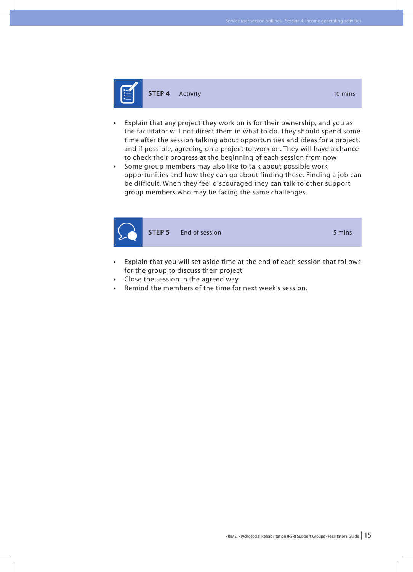

- Explain that any project they work on is for their ownership, and you as the facilitator will not direct them in what to do. They should spend some time after the session talking about opportunities and ideas for a project, and if possible, agreeing on a project to work on. They will have a chance to check their progress at the beginning of each session from now
- **•**  Some group members may also like to talk about possible work opportunities and how they can go about finding these. Finding a job can be difficult. When they feel discouraged they can talk to other support group members who may be facing the same challenges.



- **•**  Explain that you will set aside time at the end of each session that follows for the group to discuss their project
- Close the session in the agreed way
- Remind the members of the time for next week's session.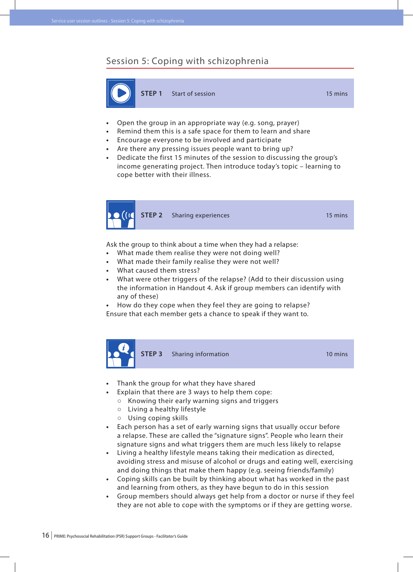# Session 5: Coping with schizophrenia



- **Open the group in an appropriate way (e.g. song, prayer)**
- Remind them this is a safe space for them to learn and share
- Encourage everyone to be involved and participate
- **•**  Are there any pressing issues people want to bring up?
- **•**  Dedicate the first 15 minutes of the session to discussing the group's income generating project. Then introduce today's topic – learning to cope better with their illness.



Ask the group to think about a time when they had a relapse:

- **•**  What made them realise they were not doing well?
- What made their family realise they were not well?
- **•**  What caused them stress?
- **•**  What were other triggers of the relapse? (Add to their discussion using the information in Handout 4. Ask if group members can identify with any of these)

How do they cope when they feel they are going to relapse? Ensure that each member gets a chance to speak if they want to.



- **Finank the group for what they have shared** 
	- Explain that there are 3 ways to help them cope:
	- **○** Knowing their early warning signs and triggers
	- **○** Living a healthy lifestyle
	- **○** Using coping skills
- **•**  Each person has a set of early warning signs that usually occur before a relapse. These are called the "signature signs". People who learn their signature signs and what triggers them are much less likely to relapse
- **•**  Living a healthy lifestyle means taking their medication as directed, avoiding stress and misuse of alcohol or drugs and eating well, exercising and doing things that make them happy (e.g. seeing friends/family)
- **•**  Coping skills can be built by thinking about what has worked in the past and learning from others, as they have begun to do in this session
- **•**  Group members should always get help from a doctor or nurse if they feel they are not able to cope with the symptoms or if they are getting worse.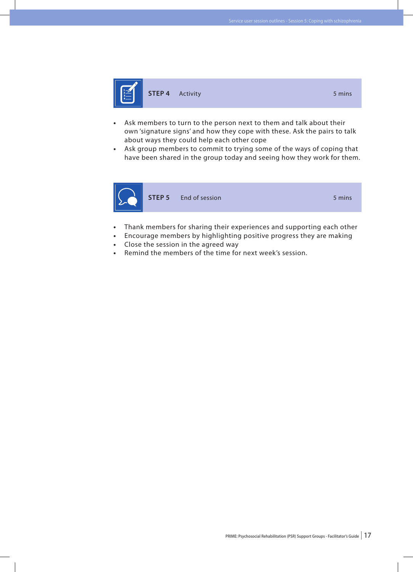

- **•**  Ask members to turn to the person next to them and talk about their own 'signature signs' and how they cope with these. Ask the pairs to talk about ways they could help each other cope
- **•**  Ask group members to commit to trying some of the ways of coping that have been shared in the group today and seeing how they work for them.



**STEP 5** End of session 5 mins

- Thank members for sharing their experiences and supporting each other
- Encourage members by highlighting positive progress they are making
- Close the session in the agreed way
- Remind the members of the time for next week's session.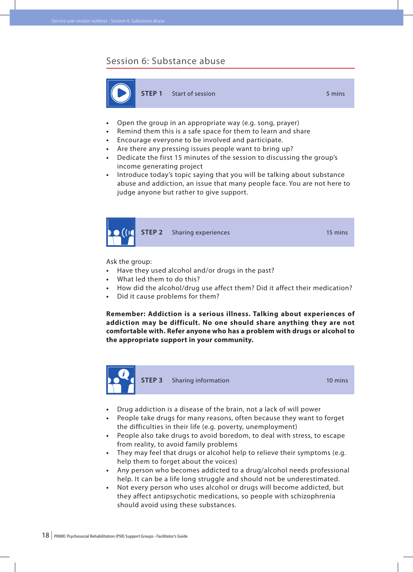#### Session 6: Substance abuse



**STEP 1** Start of session 5 mins

- **Open the group in an appropriate way (e.g. song, prayer)**
- **•**  Remind them this is a safe space for them to learn and share
- **•**  Encourage everyone to be involved and participate.
- **•**  Are there any pressing issues people want to bring up?
- **•**  Dedicate the first 15 minutes of the session to discussing the group's income generating project
- **•**  Introduce today's topic saying that you will be talking about substance abuse and addiction, an issue that many people face. You are not here to judge anyone but rather to give support.



Ask the group:

- **•**  Have they used alcohol and/or drugs in the past?
- **What led them to do this?**
- **•**  How did the alcohol/drug use affect them? Did it affect their medication?
- Did it cause problems for them?

**Remember: Addiction is a serious illness. Talking about experiences of addiction may be difficult. No one should share anything they are not comfortable with. Refer anyone who has a problem with drugs or alcohol to the appropriate support in your community.**



**STEP 3** Sharing information 10 mins

- Drug addiction is a disease of the brain, not a lack of will power
- **•**  People take drugs for many reasons, often because they want to forget the difficulties in their life (e.g. poverty, unemployment)
- **•**  People also take drugs to avoid boredom, to deal with stress, to escape from reality, to avoid family problems
- **•**  They may feel that drugs or alcohol help to relieve their symptoms (e.g. help them to forget about the voices)
- **•**  Any person who becomes addicted to a drug/alcohol needs professional help. It can be a life long struggle and should not be underestimated.
- Not every person who uses alcohol or drugs will become addicted, but they affect antipsychotic medications, so people with schizophrenia should avoid using these substances.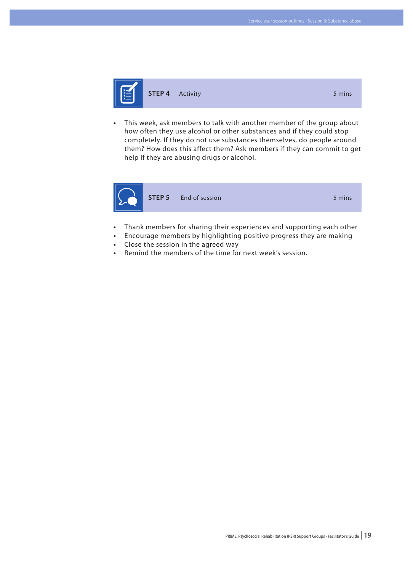

**STEP 4** Activity **5 mins** 

- 
- This week, ask members to talk with another member of the group about how often they use alcohol or other substances and if they could stop completely. If they do not use substances themselves, do people around them? How does this affect them? Ask members if they can commit to get help if they are abusing drugs or alcohol.



- Thank members for sharing their experiences and supporting each other
- Encourage members by highlighting positive progress they are making
- Close the session in the agreed way
- **•**  Remind the members of the time for next week's session.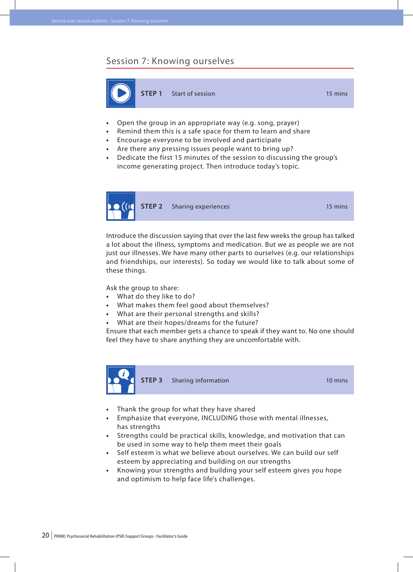#### Session 7: Knowing ourselves



- **Open the group in an appropriate way (e.g. song, prayer)**
- **•**  Remind them this is a safe space for them to learn and share
- **•**  Encourage everyone to be involved and participate
- **•**  Are there any pressing issues people want to bring up?
- **•**  Dedicate the first 15 minutes of the session to discussing the group's income generating project. Then introduce today's topic.



**STEP 2** Sharing experiences 15 mins

Introduce the discussion saying that over the last few weeks the group has talked a lot about the illness, symptoms and medication. But we as people we are not just our illnesses. We have many other parts to ourselves (e.g. our relationships and friendships, our interests). So today we would like to talk about some of these things.

Ask the group to share:

- **•**  What do they like to do?
- What makes them feel good about themselves?
- What are their personal strengths and skills?
- What are their hopes/dreams for the future?

Ensure that each member gets a chance to speak if they want to. No one should feel they have to share anything they are uncomfortable with.



**STEP 3** Sharing information 10 mins

- Thank the group for what they have shared
- **•**  Emphasize that everyone, INCLUDING those with mental illnesses, has strengths
- **•**  Strengths could be practical skills, knowledge, and motivation that can be used in some way to help them meet their goals
- **•**  Self esteem is what we believe about ourselves. We can build our self esteem by appreciating and building on our strengths
- **•**  Knowing your strengths and building your self esteem gives you hope and optimism to help face life's challenges.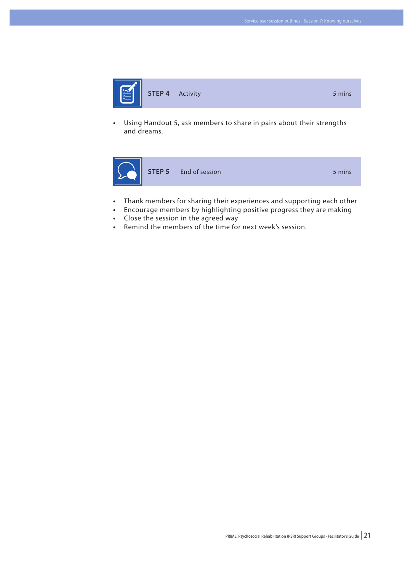

**•**  Using Handout 5, ask members to share in pairs about their strengths and dreams.



- **•**  Thank members for sharing their experiences and supporting each other
- **•**  Encourage members by highlighting positive progress they are making
- Close the session in the agreed way
- **•**  Remind the members of the time for next week's session.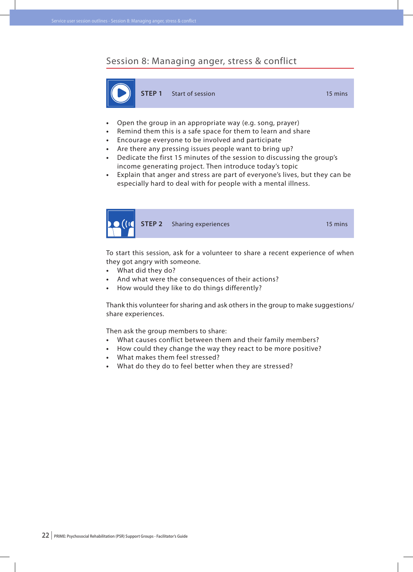#### Session 8: Managing anger, stress & conflict



- **Open the group in an appropriate way (e.g. song, prayer)**
- **•**  Remind them this is a safe space for them to learn and share
- **•**  Encourage everyone to be involved and participate
- **•**  Are there any pressing issues people want to bring up?
- **•**  Dedicate the first 15 minutes of the session to discussing the group's income generating project. Then introduce today's topic
- **•**  Explain that anger and stress are part of everyone's lives, but they can be especially hard to deal with for people with a mental illness.



**STEP 2** Sharing experiences 15 mins

To start this session, ask for a volunteer to share a recent experience of when they got angry with someone.

- **•**  What did they do?
- **•**  And what were the consequences of their actions?
- How would they like to do things differently?

Thank this volunteer for sharing and ask others in the group to make suggestions/ share experiences.

Then ask the group members to share:

- **•**  What causes conflict between them and their family members?
- **•**  How could they change the way they react to be more positive?
- **•**  What makes them feel stressed?
- **•**  What do they do to feel better when they are stressed?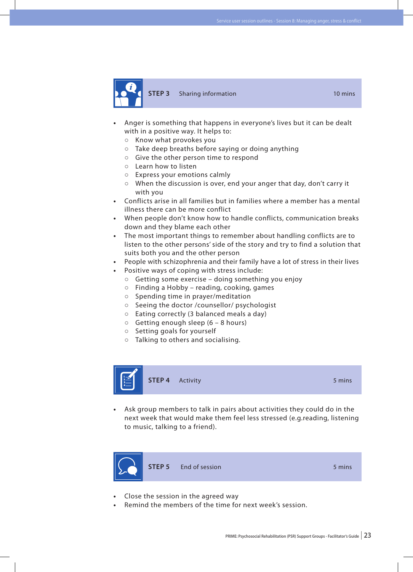

**STEP 3** Sharing information 10 mins

- Anger is something that happens in everyone's lives but it can be dealt with in a positive way. It helps to:
	- **○** Know what provokes you
	- **○** Take deep breaths before saying or doing anything
	- **○** Give the other person time to respond
	- **○** Learn how to listen
	- **○** Express your emotions calmly
	- **○** When the discussion is over, end your anger that day, don't carry it with you
- **•**  Conflicts arise in all families but in families where a member has a mental illness there can be more conflict
- **•**  When people don't know how to handle conflicts, communication breaks down and they blame each other
- The most important things to remember about handling conflicts are to listen to the other persons' side of the story and try to find a solution that suits both you and the other person
- People with schizophrenia and their family have a lot of stress in their lives
- Positive ways of coping with stress include:
	- **○** Getting some exercise doing something you enjoy
	- **○** Finding a Hobby reading, cooking, games
	- **○** Spending time in prayer/meditation
	- **○** Seeing the doctor /counsellor/ psychologist
	- **○** Eating correctly (3 balanced meals a day)
	- **○** Getting enough sleep (6 8 hours)
	- **○** Setting goals for yourself
	- **○** Talking to others and socialising.



Ask group members to talk in pairs about activities they could do in the next week that would make them feel less stressed (e.g.reading, listening to music, talking to a friend).



- Close the session in the agreed way
- Remind the members of the time for next week's session.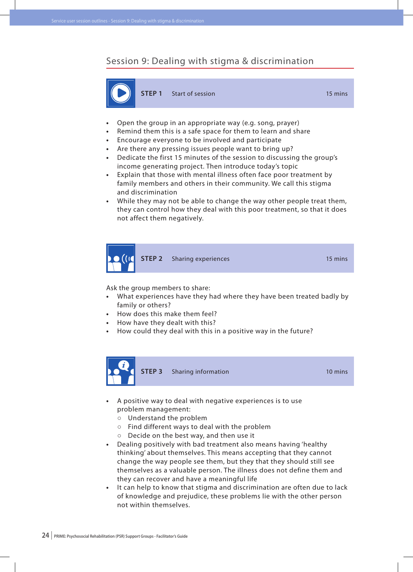## Session 9: Dealing with stigma & discrimination



**STEP 1** Start of session **15 mins** 

- **Open the group in an appropriate way (e.g. song, prayer)**
- **•**  Remind them this is a safe space for them to learn and share
- **•**  Encourage everyone to be involved and participate
- **•**  Are there any pressing issues people want to bring up?
- **•**  Dedicate the first 15 minutes of the session to discussing the group's income generating project. Then introduce today's topic
- **•**  Explain that those with mental illness often face poor treatment by family members and others in their community. We call this stigma and discrimination
- **•**  While they may not be able to change the way other people treat them, they can control how they deal with this poor treatment, so that it does not affect them negatively.



Ask the group members to share:

- What experiences have they had where they have been treated badly by family or others?
- How does this make them feel?
- How have they dealt with this?
- How could they deal with this in a positive way in the future?



**STEP 3** Sharing information **10** mins

- **•**  A positive way to deal with negative experiences is to use problem management:
	- **○** Understand the problem
	- **○** Find different ways to deal with the problem
	- **○** Decide on the best way, and then use it
- **•**  Dealing positively with bad treatment also means having 'healthy thinking' about themselves. This means accepting that they cannot change the way people see them, but they that they should still see themselves as a valuable person. The illness does not define them and they can recover and have a meaningful life
- **•**  It can help to know that stigma and discrimination are often due to lack of knowledge and prejudice, these problems lie with the other person not within themselves.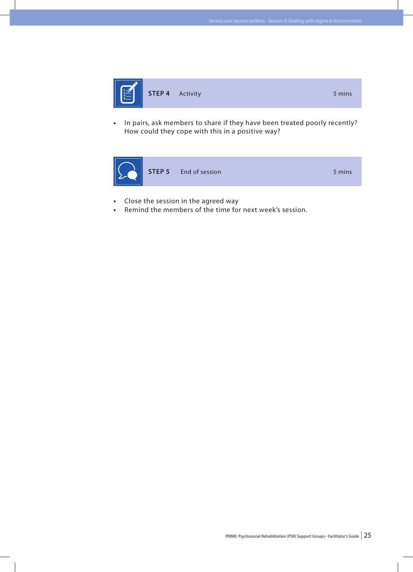

**•**  In pairs, ask members to share if they have been treated poorly recently? How could they cope with this in a positive way?



- **•**  Close the session in the agreed way
- Remind the members of the time for next week's session.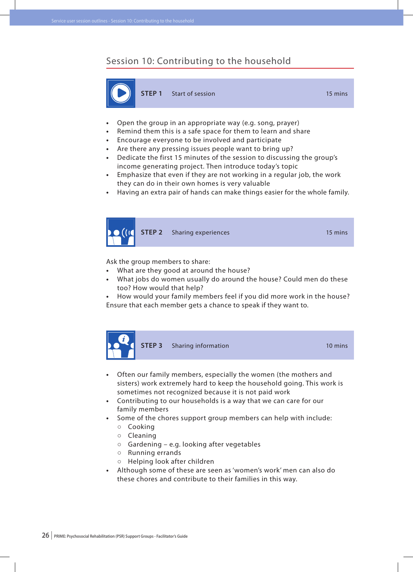#### Session 10: Contributing to the household



**STEP 1** Start of session **15 mins** 

- **Open the group in an appropriate way (e.g. song, prayer)**
- **•**  Remind them this is a safe space for them to learn and share
- **•**  Encourage everyone to be involved and participate
- **•**  Are there any pressing issues people want to bring up?
- **•**  Dedicate the first 15 minutes of the session to discussing the group's income generating project. Then introduce today's topic
- **•**  Emphasize that even if they are not working in a regular job, the work they can do in their own homes is very valuable
- **•**  Having an extra pair of hands can make things easier for the whole family.



Ask the group members to share:

- **•**  What are they good at around the house?
- **•**  What jobs do women usually do around the house? Could men do these too? How would that help?
- **•**  How would your family members feel if you did more work in the house? Ensure that each member gets a chance to speak if they want to.



- **•**  Often our family members, especially the women (the mothers and sisters) work extremely hard to keep the household going. This work is sometimes not recognized because it is not paid work
- **•**  Contributing to our households is a way that we can care for our family members
- Some of the chores support group members can help with include:
	- **○** Cooking
	- **○** Cleaning
	- **○** Gardening e.g. looking after vegetables
	- **○** Running errands
	- **○** Helping look after children
- Although some of these are seen as 'women's work' men can also do these chores and contribute to their families in this way.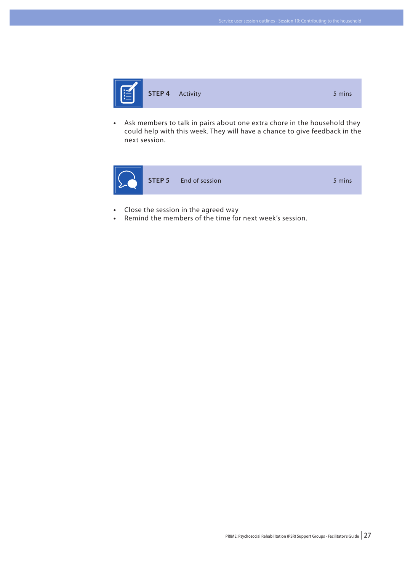

**•**  Ask members to talk in pairs about one extra chore in the household they could help with this week. They will have a chance to give feedback in the next session.



- **•**  Close the session in the agreed way
- Remind the members of the time for next week's session.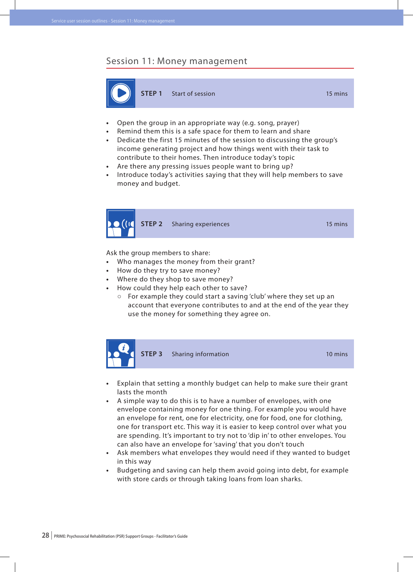#### Session 11: Money management



- **Open the group in an appropriate way (e.g. song, prayer)**
- Remind them this is a safe space for them to learn and share
- **•**  Dedicate the first 15 minutes of the session to discussing the group's income generating project and how things went with their task to contribute to their homes. Then introduce today's topic
- **•**  Are there any pressing issues people want to bring up?
- **•**  Introduce today's activities saying that they will help members to save money and budget.



**STEP 2** Sharing experiences 15 mins

Ask the group members to share:

- **•**  Who manages the money from their grant?
- How do they try to save money?
- **•**  Where do they shop to save money?
- **How could they help each other to save?** 
	- **○** For example they could start a saving 'club' where they set up an account that everyone contributes to and at the end of the year they use the money for something they agree on.



- **•**  Explain that setting a monthly budget can help to make sure their grant lasts the month
- **•**  A simple way to do this is to have a number of envelopes, with one envelope containing money for one thing. For example you would have an envelope for rent, one for electricity, one for food, one for clothing, one for transport etc. This way it is easier to keep control over what you are spending. It's important to try not to 'dip in' to other envelopes. You can also have an envelope for 'saving' that you don't touch
- Ask members what envelopes they would need if they wanted to budget in this way
- Budgeting and saving can help them avoid going into debt, for example with store cards or through taking loans from loan sharks.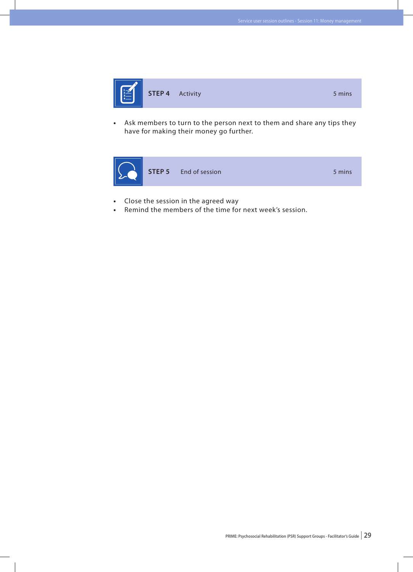

**•**  Ask members to turn to the person next to them and share any tips they have for making their money go further.



- **•**  Close the session in the agreed way
- Remind the members of the time for next week's session.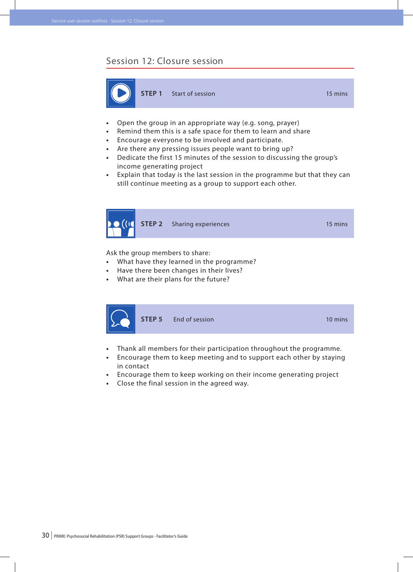#### Session 12: Closure session



- **•**  Open the group in an appropriate way (e.g. song, prayer)
- **•**  Remind them this is a safe space for them to learn and share
- **•**  Encourage everyone to be involved and participate.
- **•**  Are there any pressing issues people want to bring up?
- **•**  Dedicate the first 15 minutes of the session to discussing the group's income generating project
- **•**  Explain that today is the last session in the programme but that they can still continue meeting as a group to support each other.



Ask the group members to share:

- **•**  What have they learned in the programme?
- **•**  Have there been changes in their lives?
- **•**  What are their plans for the future?



- **•**  Thank all members for their participation throughout the programme.
- **•**  Encourage them to keep meeting and to support each other by staying in contact
- **•**  Encourage them to keep working on their income generating project
- **•**  Close the final session in the agreed way.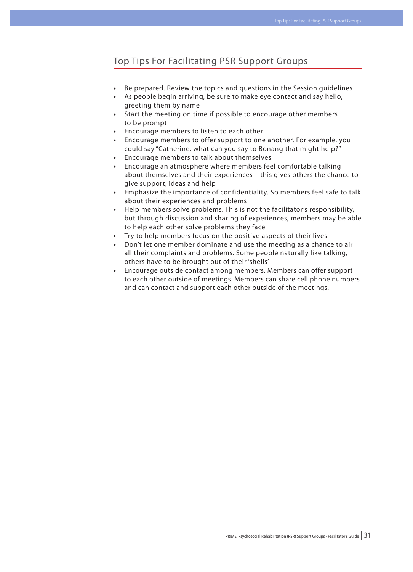## Top Tips For Facilitating PSR Support Groups

- Be prepared. Review the topics and questions in the Session quidelines
- As people begin arriving, be sure to make eye contact and say hello, greeting them by name
- Start the meeting on time if possible to encourage other members to be prompt
- Encourage members to listen to each other
- Encourage members to offer support to one another. For example, you could say "Catherine, what can you say to Bonang that might help?"
- Encourage members to talk about themselves
- Encourage an atmosphere where members feel comfortable talking about themselves and their experiences – this gives others the chance to give support, ideas and help
- Emphasize the importance of confidentiality. So members feel safe to talk about their experiences and problems
- **•**  Help members solve problems. This is not the facilitator's responsibility, but through discussion and sharing of experiences, members may be able to help each other solve problems they face
- Try to help members focus on the positive aspects of their lives
- Don't let one member dominate and use the meeting as a chance to air all their complaints and problems. Some people naturally like talking, others have to be brought out of their 'shells'
- Encourage outside contact among members. Members can offer support to each other outside of meetings. Members can share cell phone numbers and can contact and support each other outside of the meetings.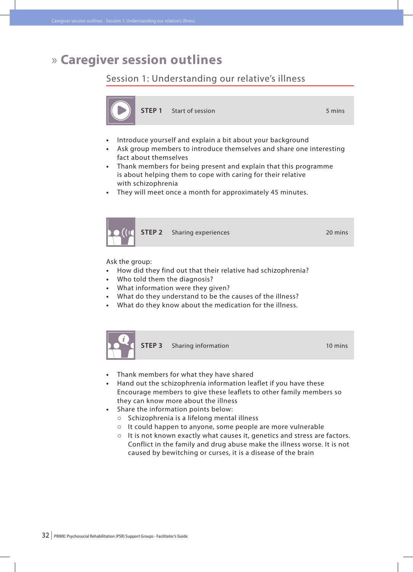# » **Caregiver session outlines**

# Session 1: Understanding our relative's illness



- **Introduce yourself and explain a bit about your background**
- Ask group members to introduce themselves and share one interesting fact about themselves
- **•**  Thank members for being present and explain that this programme is about helping them to cope with caring for their relative with schizophrenia
- They will meet once a month for approximately 45 minutes.



Ask the group:

- **•**  How did they find out that their relative had schizophrenia?
- **Who told them the diagnosis?**
- **•**  What information were they given?
- **•**  What do they understand to be the causes of the illness?
- What do they know about the medication for the illness.



- **•**  Thank members for what they have shared
- **•**  Hand out the schizophrenia information leaflet if you have these Encourage members to give these leaflets to other family members so they can know more about the illness
- **•**  Share the information points below:
	- **○** Schizophrenia is a lifelong mental illness
	- **○** It could happen to anyone, some people are more vulnerable
	- **○** It is not known exactly what causes it, genetics and stress are factors. Conflict in the family and drug abuse make the illness worse. It is not caused by bewitching or curses, it is a disease of the brain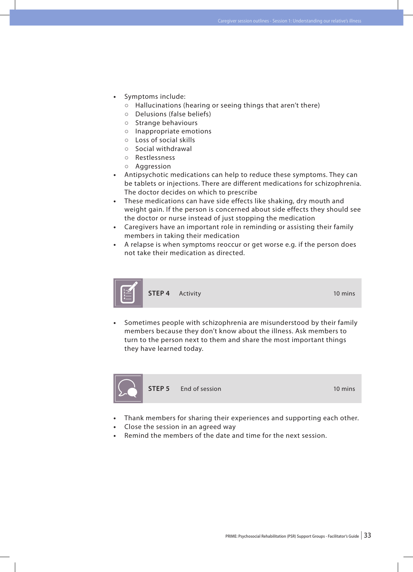- Symptoms include:
	- **○** Hallucinations (hearing or seeing things that aren't there)
	- **○** Delusions (false beliefs)
	- **○** Strange behaviours
	- **○** Inappropriate emotions
	- **○** Loss of social skills
	- **○** Social withdrawal
	- **○** Restlessness
	- **○** Aggression
- Antipsychotic medications can help to reduce these symptoms. They can be tablets or injections. There are different medications for schizophrenia. The doctor decides on which to prescribe
- **•**  These medications can have side effects like shaking, dry mouth and weight gain. If the person is concerned about side effects they should see the doctor or nurse instead of just stopping the medication
- **•**  Caregivers have an important role in reminding or assisting their family members in taking their medication
- **•**  A relapse is when symptoms reoccur or get worse e.g. if the person does not take their medication as directed.



Sometimes people with schizophrenia are misunderstood by their family members because they don't know about the illness. Ask members to turn to the person next to them and share the most important things they have learned today.



**STEP 5** End of session **10 mins** 

- Thank members for sharing their experiences and supporting each other.
- **Close the session in an agreed way**
- Remind the members of the date and time for the next session.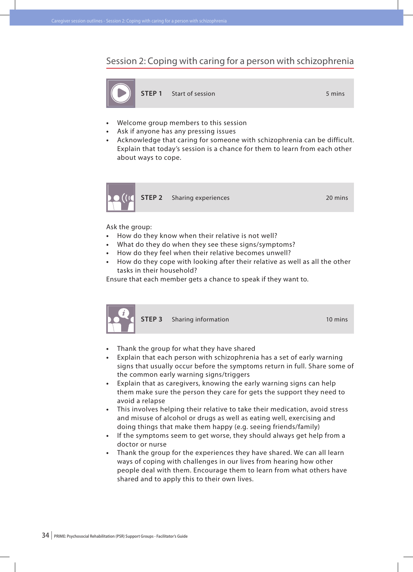Session 2: Coping with caring for a person with schizophrenia



**STEP 1** Start of session 5 mins

- **Welcome group members to this session**
- Ask if anyone has any pressing issues
- **•**  Acknowledge that caring for someone with schizophrenia can be difficult. Explain that today's session is a chance for them to learn from each other about ways to cope.



Ask the group:

- **•**  How do they know when their relative is not well?
- **•**  What do they do when they see these signs/symptoms?
- **•**  How do they feel when their relative becomes unwell?
- How do they cope with looking after their relative as well as all the other tasks in their household?

Ensure that each member gets a chance to speak if they want to.



**STEP 3** Sharing information 10 mins

- **Finank the group for what they have shared**
- **•**  Explain that each person with schizophrenia has a set of early warning signs that usually occur before the symptoms return in full. Share some of the common early warning signs/triggers
- **•**  Explain that as caregivers, knowing the early warning signs can help them make sure the person they care for gets the support they need to avoid a relapse
- **•**  This involves helping their relative to take their medication, avoid stress and misuse of alcohol or drugs as well as eating well, exercising and doing things that make them happy (e.g. seeing friends/family)
- **•**  If the symptoms seem to get worse, they should always get help from a doctor or nurse
- **•**  Thank the group for the experiences they have shared. We can all learn ways of coping with challenges in our lives from hearing how other people deal with them. Encourage them to learn from what others have shared and to apply this to their own lives.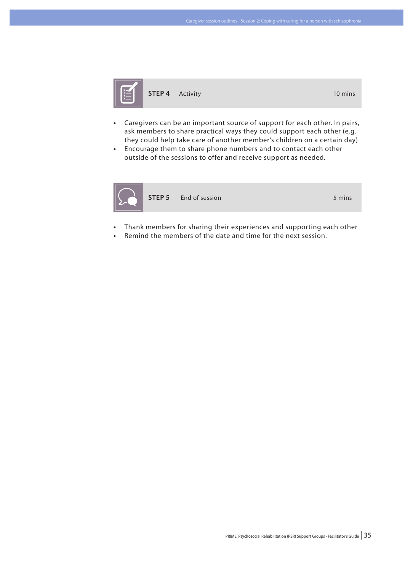

- **•**  Caregivers can be an important source of support for each other. In pairs, ask members to share practical ways they could support each other (e.g. they could help take care of another member's children on a certain day)
- **•**  Encourage them to share phone numbers and to contact each other outside of the sessions to offer and receive support as needed.



**STEP 5** End of session 5 mins

- Thank members for sharing their experiences and supporting each other
- Remind the members of the date and time for the next session.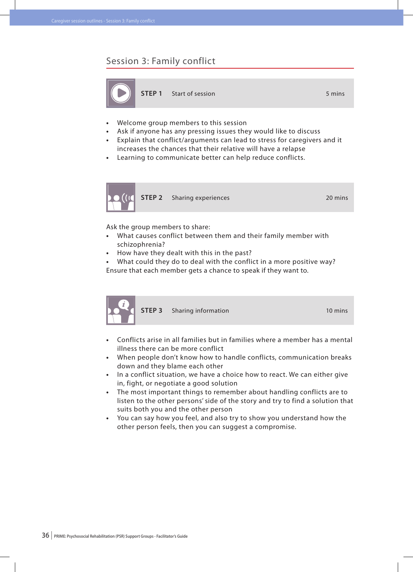#### Session 3: Family conflict



- **Welcome group members to this session**
- Ask if anyone has any pressing issues they would like to discuss
- **•**  Explain that conflict/arguments can lead to stress for caregivers and it increases the chances that their relative will have a relapse
- **•**  Learning to communicate better can help reduce conflicts.



Ask the group members to share:

- What causes conflict between them and their family member with schizophrenia?
- How have they dealt with this in the past?

What could they do to deal with the conflict in a more positive way? Ensure that each member gets a chance to speak if they want to.



**STEP 3** Sharing information 10 mins

- **•**  Conflicts arise in all families but in families where a member has a mental illness there can be more conflict
- **•**  When people don't know how to handle conflicts, communication breaks down and they blame each other
- **•**  In a conflict situation, we have a choice how to react. We can either give in, fight, or negotiate a good solution
- **•**  The most important things to remember about handling conflicts are to listen to the other persons' side of the story and try to find a solution that suits both you and the other person
- **•**  You can say how you feel, and also try to show you understand how the other person feels, then you can suggest a compromise.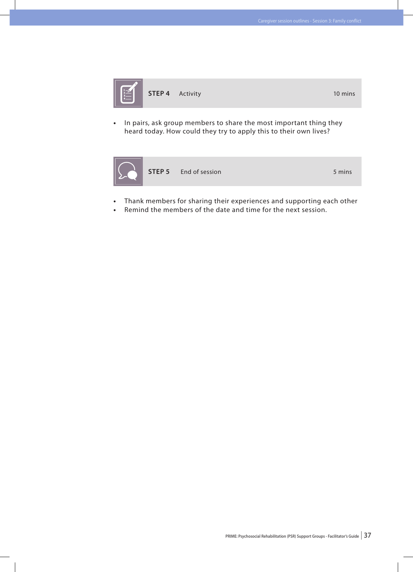

- 
- **•**  In pairs, ask group members to share the most important thing they heard today. How could they try to apply this to their own lives?



- **•**  Thank members for sharing their experiences and supporting each other
- Remind the members of the date and time for the next session.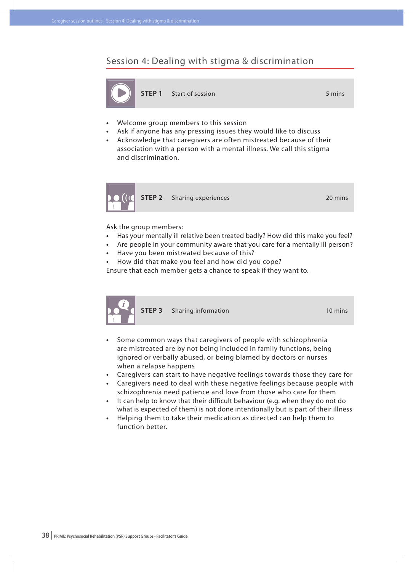#### Session 4: Dealing with stigma & discrimination



**STEP 1** Start of session 5 mins

- **Welcome group members to this session**
- Ask if anyone has any pressing issues they would like to discuss
- **•**  Acknowledge that caregivers are often mistreated because of their association with a person with a mental illness. We call this stigma and discrimination.



Ask the group members:

- **•**  Has your mentally ill relative been treated badly? How did this make you feel?
- **•**  Are people in your community aware that you care for a mentally ill person?
- Have you been mistreated because of this?
- How did that make you feel and how did you cope?

Ensure that each member gets a chance to speak if they want to.



**STEP 3** Sharing information 10 mins

- **•**  Some common ways that caregivers of people with schizophrenia are mistreated are by not being included in family functions, being ignored or verbally abused, or being blamed by doctors or nurses when a relapse happens
- **•**  Caregivers can start to have negative feelings towards those they care for
- **•**  Caregivers need to deal with these negative feelings because people with schizophrenia need patience and love from those who care for them
- **•**  It can help to know that their difficult behaviour (e.g. when they do not do what is expected of them) is not done intentionally but is part of their illness
- **•**  Helping them to take their medication as directed can help them to function better.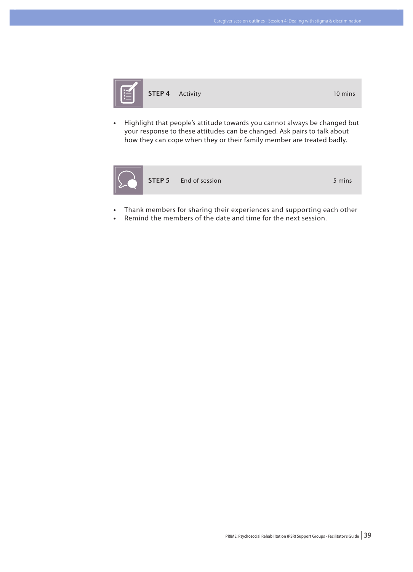

Highlight that people's attitude towards you cannot always be changed but your response to these attitudes can be changed. Ask pairs to talk about how they can cope when they or their family member are treated badly.



- Thank members for sharing their experiences and supporting each other
- Remind the members of the date and time for the next session.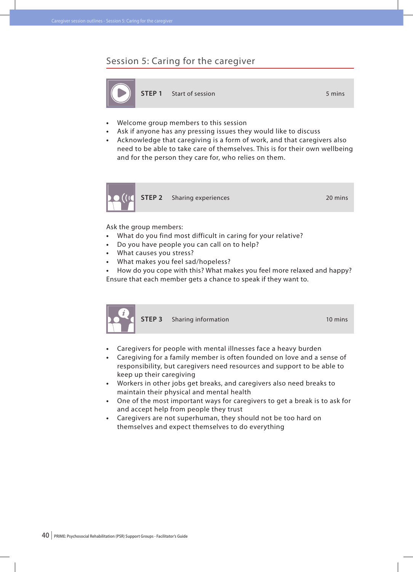#### Session 5: Caring for the caregiver



**STEP 1** Start of session 5 mins

- **Welcome group members to this session**
- Ask if anyone has any pressing issues they would like to discuss
- **•**  Acknowledge that caregiving is a form of work, and that caregivers also need to be able to take care of themselves. This is for their own wellbeing and for the person they care for, who relies on them.



Ask the group members:

- **•**  What do you find most difficult in caring for your relative?
- **•**  Do you have people you can call on to help?
- **What causes you stress?**
- What makes you feel sad/hopeless?
- How do you cope with this? What makes you feel more relaxed and happy? Ensure that each member gets a chance to speak if they want to.



**STEP 3** Sharing information 10 mins

- **Caregivers for people with mental illnesses face a heavy burden**
- **•**  Caregiving for a family member is often founded on love and a sense of responsibility, but caregivers need resources and support to be able to keep up their caregiving
- **•**  Workers in other jobs get breaks, and caregivers also need breaks to maintain their physical and mental health
- **•**  One of the most important ways for caregivers to get a break is to ask for and accept help from people they trust
- **•**  Caregivers are not superhuman, they should not be too hard on themselves and expect themselves to do everything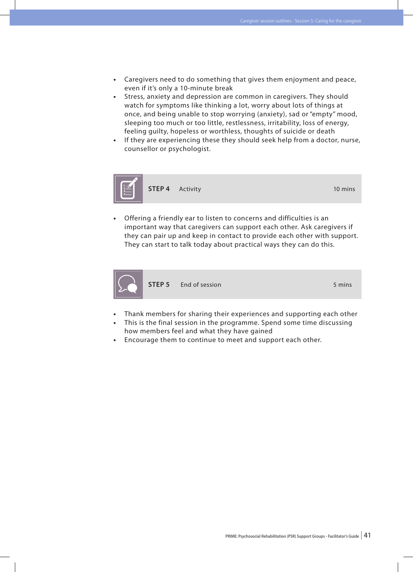- **•**  Caregivers need to do something that gives them enjoyment and peace, even if it's only a 10-minute break
- **•**  Stress, anxiety and depression are common in caregivers. They should watch for symptoms like thinking a lot, worry about lots of things at once, and being unable to stop worrying (anxiety), sad or "empty" mood, sleeping too much or too little, restlessness, irritability, loss of energy, feeling guilty, hopeless or worthless, thoughts of suicide or death
- If they are experiencing these they should seek help from a doctor, nurse, counsellor or psychologist.



Offering a friendly ear to listen to concerns and difficulties is an important way that caregivers can support each other. Ask caregivers if they can pair up and keep in contact to provide each other with support. They can start to talk today about practical ways they can do this.



- Thank members for sharing their experiences and supporting each other
- This is the final session in the programme. Spend some time discussing how members feel and what they have gained
- **•**  Encourage them to continue to meet and support each other.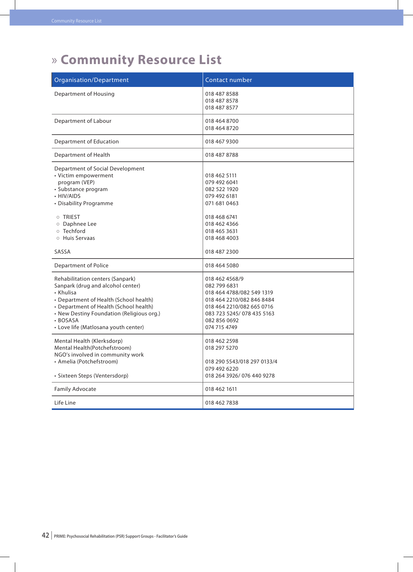# » **Community Resource List**

| Organisation/Department                                                                                                                                                                                                                                                 | Contact number                                                                                                                                                                     |
|-------------------------------------------------------------------------------------------------------------------------------------------------------------------------------------------------------------------------------------------------------------------------|------------------------------------------------------------------------------------------------------------------------------------------------------------------------------------|
| <b>Department of Housing</b>                                                                                                                                                                                                                                            | 018 487 8588<br>018 487 8578<br>018 487 8577                                                                                                                                       |
| Department of Labour                                                                                                                                                                                                                                                    | 018 464 8700<br>018 464 8720                                                                                                                                                       |
| Department of Education                                                                                                                                                                                                                                                 | 018 467 9300                                                                                                                                                                       |
| Department of Health                                                                                                                                                                                                                                                    | 018 487 8788                                                                                                                                                                       |
| Department of Social Development<br>• Victim empowerment<br>program (VEP)<br>· Substance program<br>• HIV/AIDS<br>• Disability Programme<br><b>O TRIEST</b><br>o Daphnee Lee<br>o Techford<br>○ Huis Servaas                                                            | 018 462 5111<br>079 492 6041<br>082 522 1920<br>079 492 6181<br>071 681 0463<br>018 468 6741<br>018 462 4366<br>018 465 3631<br>018 468 4003                                       |
| SASSA                                                                                                                                                                                                                                                                   | 018 487 2300                                                                                                                                                                       |
| <b>Department of Police</b>                                                                                                                                                                                                                                             | 018 464 5080                                                                                                                                                                       |
| Rehabilitation centers (Sanpark)<br>Sanpark (drug and alcohol center)<br>• Khulisa<br>• Department of Health (School health)<br>• Department of Health (School health)<br>• New Destiny Foundation (Religious org.)<br>· BOSASA<br>• Love life (Matlosana youth center) | 018 462 4568/9<br>082 799 6831<br>018 464 4788/082 549 1319<br>018 464 2210/082 846 8484<br>018 464 2210/082 665 0716<br>083 723 5245/078 435 5163<br>082 856 0692<br>074 715 4749 |
| Mental Health (Klerksdorp)<br>Mental Health(Potchefstroom)<br>NGO's involved in community work<br>• Amelia (Potchefstroom)<br>· Sixteen Steps (Ventersdorp)                                                                                                             | 018 462 2598<br>018 297 5270<br>018 290 5543/018 297 0133/4<br>079 492 6220<br>018 264 3926/076 440 9278                                                                           |
| <b>Family Advocate</b>                                                                                                                                                                                                                                                  | 018 462 1611                                                                                                                                                                       |
| Life Line                                                                                                                                                                                                                                                               | 018 462 7838                                                                                                                                                                       |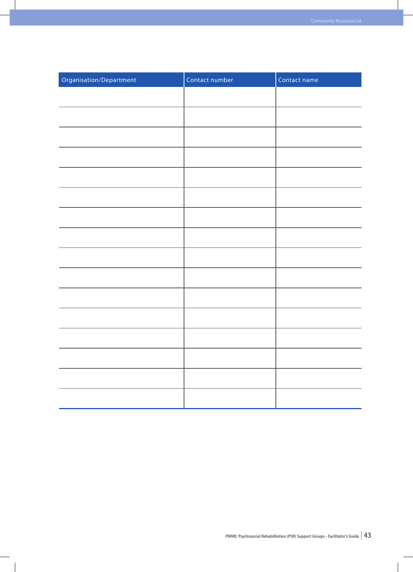| Organisation/Department | Contact number | Contact name |
|-------------------------|----------------|--------------|
|                         |                |              |
|                         |                |              |
|                         |                |              |
|                         |                |              |
|                         |                |              |
|                         |                |              |
|                         |                |              |
|                         |                |              |
|                         |                |              |
|                         |                |              |
|                         |                |              |
|                         |                |              |
|                         |                |              |
|                         |                |              |
|                         |                |              |
|                         |                |              |
|                         |                |              |

 $\overline{\phantom{a}}$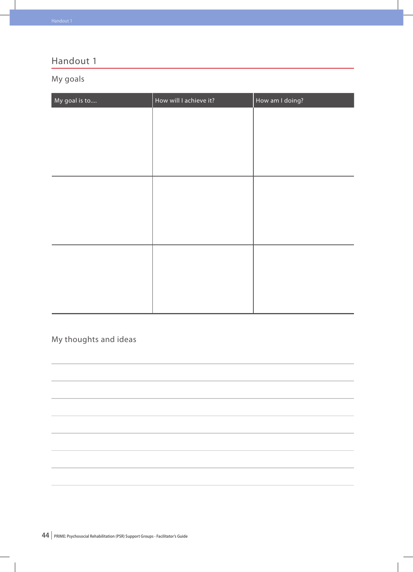# My goals

| My goal is to | How will I achieve it? | How am I doing? |
|---------------|------------------------|-----------------|
|               |                        |                 |
|               |                        |                 |
|               |                        |                 |
|               |                        |                 |
|               |                        |                 |
|               |                        |                 |
|               |                        |                 |
|               |                        |                 |
|               |                        |                 |
|               |                        |                 |
|               |                        |                 |
|               |                        |                 |

# My thoughts and ideas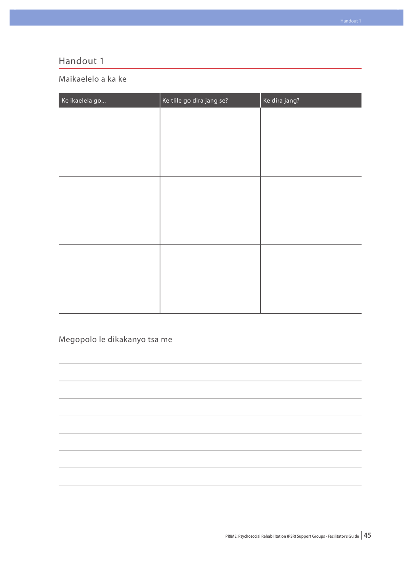### Maikaelelo a ka ke

| Ke ikaelela go | Ke tlile go dira jang se? | Ke dira jang? |
|----------------|---------------------------|---------------|
|                |                           |               |
|                |                           |               |
|                |                           |               |
|                |                           |               |
|                |                           |               |
|                |                           |               |
|                |                           |               |
|                |                           |               |
|                |                           |               |
|                |                           |               |
|                |                           |               |
|                |                           |               |
|                |                           |               |
|                |                           |               |

# Megopolo le dikakanyo tsa me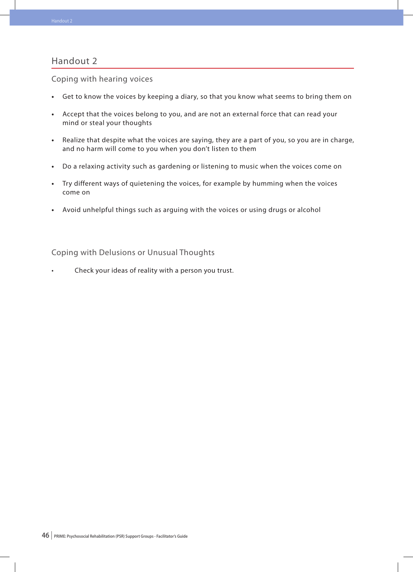Coping with hearing voices

- **•**  Get to know the voices by keeping a diary, so that you know what seems to bring them on
- **•**  Accept that the voices belong to you, and are not an external force that can read your mind or steal your thoughts
- **•**  Realize that despite what the voices are saying, they are a part of you, so you are in charge, and no harm will come to you when you don't listen to them
- **•**  Do a relaxing activity such as gardening or listening to music when the voices come on
- **•**  Try different ways of quietening the voices, for example by humming when the voices come on
- **•**  Avoid unhelpful things such as arguing with the voices or using drugs or alcohol

Coping with Delusions or Unusual Thoughts

Check your ideas of reality with a person you trust.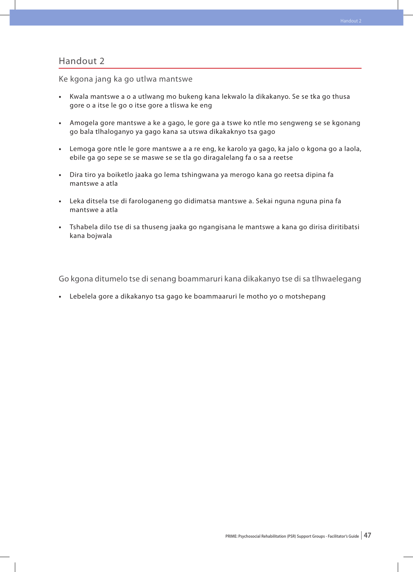Ke kgona jang ka go utlwa mantswe

- **•**  Kwala mantswe a o a utlwang mo bukeng kana lekwalo la dikakanyo. Se se tka go thusa gore o a itse le go o itse gore a tliswa ke eng
- **•**  Amogela gore mantswe a ke a gago, le gore ga a tswe ko ntle mo sengweng se se kgonang go bala tlhaloganyo ya gago kana sa utswa dikakaknyo tsa gago
- **•**  Lemoga gore ntle le gore mantswe a a re eng, ke karolo ya gago, ka jalo o kgona go a laola, ebile ga go sepe se se maswe se se tla go diragalelang fa o sa a reetse
- Dira tiro ya boiketlo jaaka go lema tshingwana ya merogo kana go reetsa dipina fa mantswe a atla
- **•**  Leka ditsela tse di farologaneng go didimatsa mantswe a. Sekai nguna nguna pina fa mantswe a atla
- **•**  Tshabela dilo tse di sa thuseng jaaka go ngangisana le mantswe a kana go dirisa diritibatsi kana bojwala

Go kgona ditumelo tse di senang boammaruri kana dikakanyo tse di sa tlhwaelegang

**•**  Lebelela gore a dikakanyo tsa gago ke boammaaruri le motho yo o motshepang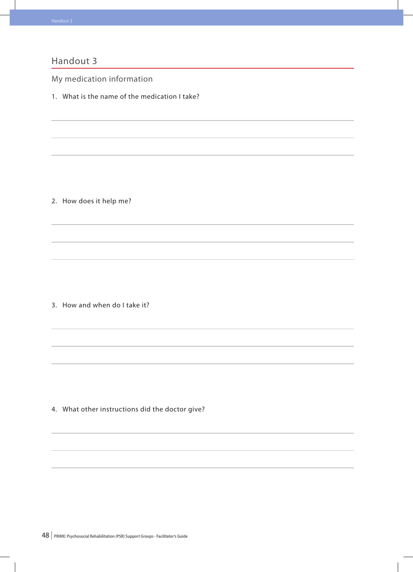My medication information

1. What is the name of the medication I take?

2. How does it help me?

3. How and when do I take it?

4. What other instructions did the doctor give?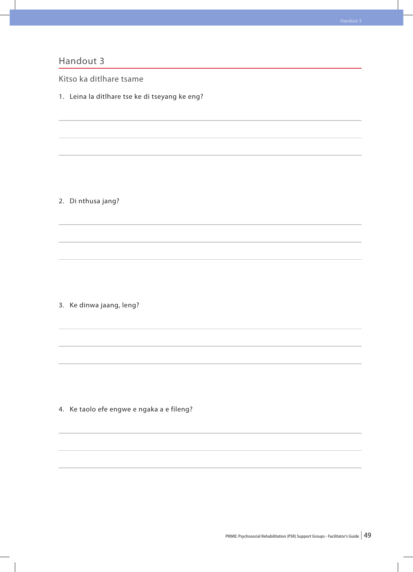Kitso ka ditlhare tsame

1. Leina la ditlhare tse ke di tseyang ke eng?

2. Di nthusa jang?

3. Ke dinwa jaang, leng?

4. Ke taolo efe engwe e ngaka a e fileng?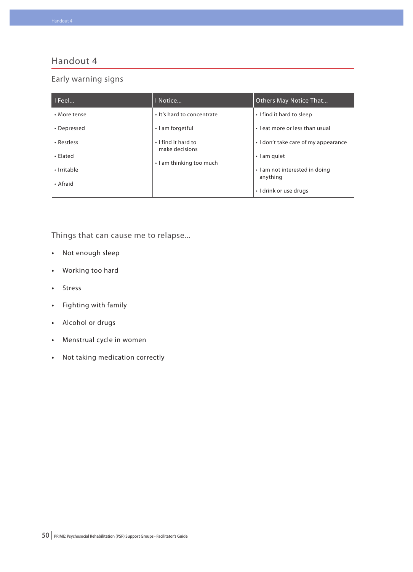#### Early warning signs

| $ $ I Feel   | I Notice                              | <b>Others May Notice That</b>              |
|--------------|---------------------------------------|--------------------------------------------|
| • More tense | . It's hard to concentrate            | I find it hard to sleep                    |
| • Depressed  | • I am forgetful                      | . Leat more or less than usual             |
| • Restless   | . I find it hard to<br>make decisions | • I don't take care of my appearance       |
| • Elated     | • I am thinking too much              | $\cdot$ I am quiet                         |
| • Irritable  |                                       | . I am not interested in doing<br>anything |
| • Afraid     |                                       | • I drink or use drugs                     |

Things that can cause me to relapse...

- **•**  Not enough sleep
- **•**  Working too hard
- **•**  Stress
- **•**  Fighting with family
- **•**  Alcohol or drugs
- **•**  Menstrual cycle in women
- **•**  Not taking medication correctly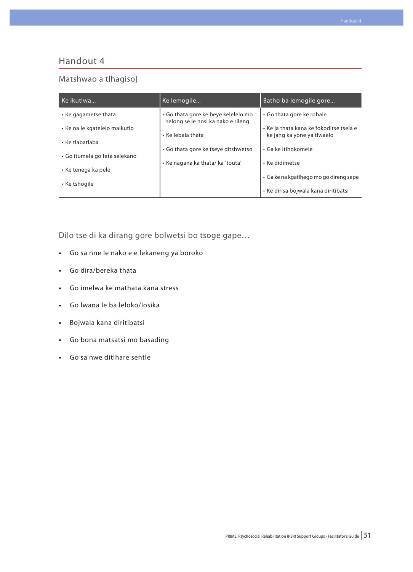#### Matshwao a tlhagiso]

| Ke ikutlwa                    | Ke lemogile                                                               | Batho ba lemogile gore                                                |
|-------------------------------|---------------------------------------------------------------------------|-----------------------------------------------------------------------|
| • Ke gagametse thata          | • Go thata gore ke beye kelelelo mo<br>selong se le nosi ka nako e rileng | • Go thata gore ke robale                                             |
| • Ke na le kgatelelo maikutlo | • Ke lebala thata                                                         | • Ke ja thata kana ke fokoditse tsela e<br>ke jang ka yone ya tlwaelo |
| • Ke tlabatlaba               | • Go thata gore ke tseye ditshwetso                                       | • Ga ke itlhokomele                                                   |
| • Go itumela go feta selekano | • Ke nagana ka thata/ ka 'touta'                                          | • Ke didimetse                                                        |
| • Ke tenega ka pele           |                                                                           | · Ga ke na kgatlhego mo go direng sepe                                |
| • Ke tshogile                 |                                                                           | • Ke dirisa bojwala kana diritibatsi                                  |

Dilo tse di ka dirang gore bolwetsi bo tsoge gape…

- **•**  Go sa nne le nako e e lekaneng ya boroko
- **•**  Go dira/bereka thata
- **•**  Go imelwa ke mathata kana stress
- **•**  Go lwana le ba leloko/losika
- **•**  Bojwala kana diritibatsi
- **•**  Go bona matsatsi mo basading
- **•**  Go sa nwe ditlhare sentle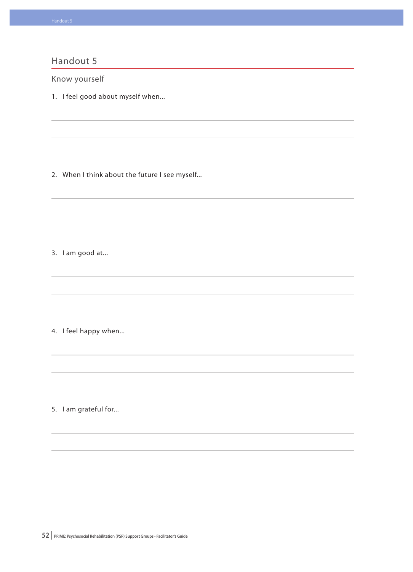Know yourself

1. I feel good about myself when...

2. When I think about the future I see myself...

3. I am good at...

4. I feel happy when...

5. I am grateful for...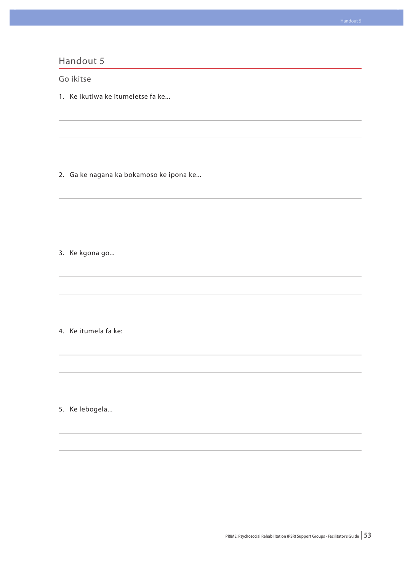# Handout 5 Go ikitse 1. Ke ikutlwa ke itumeletse fa ke... 2. Ga ke nagana ka bokamoso ke ipona ke... 3. Ke kgona go... 4. Ke itumela fa ke: 5. Ke lebogela...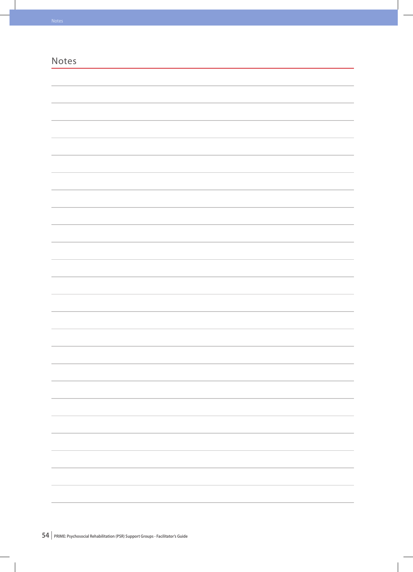| Notes |  |                                 |
|-------|--|---------------------------------|
|       |  |                                 |
|       |  |                                 |
|       |  |                                 |
|       |  |                                 |
|       |  |                                 |
|       |  |                                 |
|       |  |                                 |
|       |  |                                 |
|       |  |                                 |
|       |  |                                 |
|       |  |                                 |
|       |  |                                 |
|       |  |                                 |
|       |  |                                 |
|       |  |                                 |
|       |  |                                 |
|       |  |                                 |
|       |  |                                 |
|       |  |                                 |
|       |  |                                 |
|       |  |                                 |
|       |  |                                 |
|       |  |                                 |
|       |  |                                 |
|       |  |                                 |
|       |  |                                 |
|       |  |                                 |
|       |  |                                 |
|       |  |                                 |
|       |  |                                 |
|       |  |                                 |
|       |  | $\sim$                          |
|       |  |                                 |
|       |  |                                 |
|       |  |                                 |
|       |  |                                 |
|       |  |                                 |
|       |  |                                 |
|       |  | $\overline{\phantom{a}}$        |
|       |  |                                 |
|       |  | the contract of the contract of |
|       |  |                                 |
|       |  | ÷.                              |
|       |  |                                 |
|       |  |                                 |
|       |  |                                 |
|       |  |                                 |

 $\overline{\phantom{a}}$